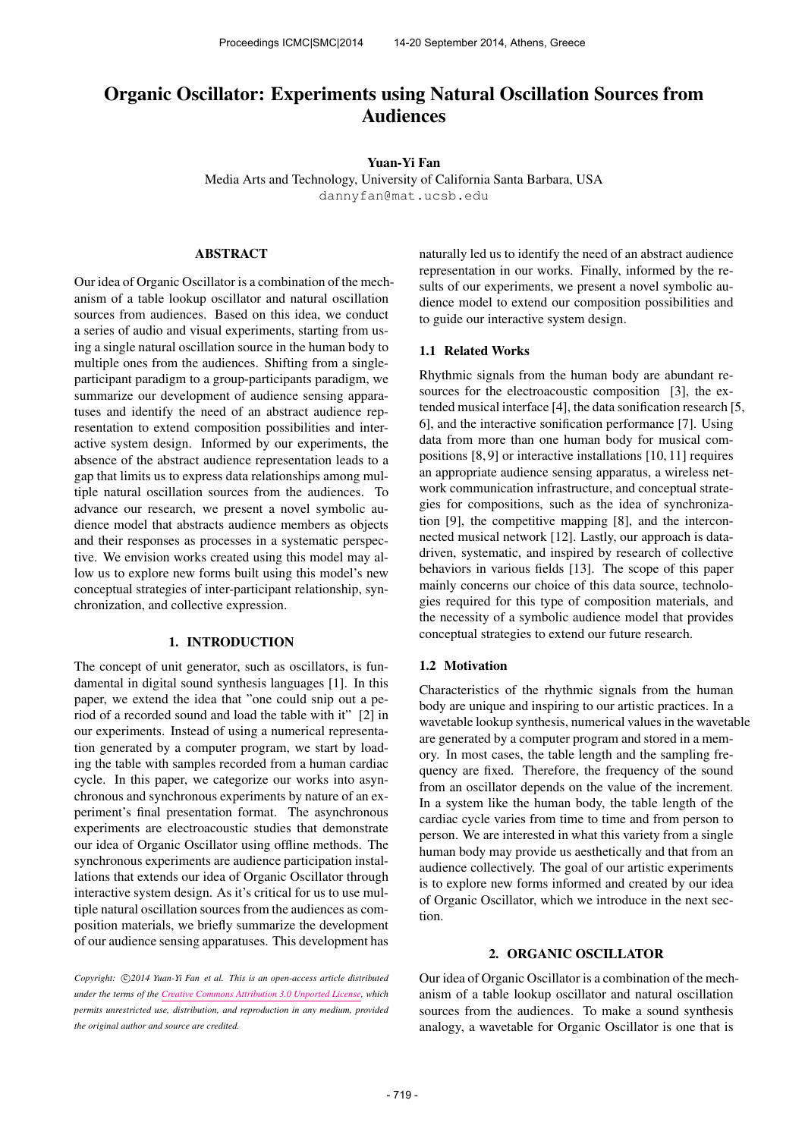# Organic Oscillator: Experiments using Natural Oscillation Sources from Audiences

#### Yuan-Yi Fan

Media Arts and Technology, University of California Santa Barbara, USA [dannyfan@mat.ucsb.edu](mailto:dannyfan@mat.ucsb.edu)

### ABSTRACT

Our idea of Organic Oscillator is a combination of the mechanism of a table lookup oscillator and natural oscillation sources from audiences. Based on this idea, we conduct a series of audio and visual experiments, starting from using a single natural oscillation source in the human body to multiple ones from the audiences. Shifting from a singleparticipant paradigm to a group-participants paradigm, we summarize our development of audience sensing apparatuses and identify the need of an abstract audience representation to extend composition possibilities and interactive system design. Informed by our experiments, the absence of the abstract audience representation leads to a gap that limits us to express data relationships among multiple natural oscillation sources from the audiences. To advance our research, we present a novel symbolic audience model that abstracts audience members as objects and their responses as processes in a systematic perspective. We envision works created using this model may allow us to explore new forms built using this model's new conceptual strategies of inter-participant relationship, synchronization, and collective expression.

## 1. INTRODUCTION

The concept of unit generator, such as oscillators, is fundamental in digital sound synthesis languages [1]. In this paper, we extend the idea that "one could snip out a period of a recorded sound and load the table with it" [2] in our experiments. Instead of using a numerical representation generated by a computer program, we start by loading the table with samples recorded from a human cardiac cycle. In this paper, we categorize our works into asynchronous and synchronous experiments by nature of an experiment's final presentation format. The asynchronous experiments are electroacoustic studies that demonstrate our idea of Organic Oscillator using offline methods. The synchronous experiments are audience participation installations that extends our idea of Organic Oscillator through interactive system design. As it's critical for us to use multiple natural oscillation sources from the audiences as composition materials, we briefly summarize the development of our audience sensing apparatuses. This development has naturally led us to identify the need of an abstract audience representation in our works. Finally, informed by the results of our experiments, we present a novel symbolic audience model to extend our composition possibilities and to guide our interactive system design.

#### 1.1 Related Works

Rhythmic signals from the human body are abundant resources for the electroacoustic composition [3], the extended musical interface [4], the data sonification research [5, 6], and the interactive sonification performance [7]. Using data from more than one human body for musical compositions [8, 9] or interactive installations [10, 11] requires an appropriate audience sensing apparatus, a wireless network communication infrastructure, and conceptual strategies for compositions, such as the idea of synchronization [9], the competitive mapping [8], and the interconnected musical network [12]. Lastly, our approach is datadriven, systematic, and inspired by research of collective behaviors in various fields [13]. The scope of this paper mainly concerns our choice of this data source, technologies required for this type of composition materials, and the necessity of a symbolic audience model that provides conceptual strategies to extend our future research.

#### 1.2 Motivation

Characteristics of the rhythmic signals from the human body are unique and inspiring to our artistic practices. In a wavetable lookup synthesis, numerical values in the wavetable are generated by a computer program and stored in a memory. In most cases, the table length and the sampling frequency are fixed. Therefore, the frequency of the sound from an oscillator depends on the value of the increment. In a system like the human body, the table length of the cardiac cycle varies from time to time and from person to person. We are interested in what this variety from a single human body may provide us aesthetically and that from an audience collectively. The goal of our artistic experiments is to explore new forms informed and created by our idea of Organic Oscillator, which we introduce in the next section.

## 2. ORGANIC OSCILLATOR

Our idea of Organic Oscillator is a combination of the mechanism of a table lookup oscillator and natural oscillation sources from the audiences. To make a sound synthesis analogy, a wavetable for Organic Oscillator is one that is

Copyright:  $\bigcirc$ 2014 Yuan-Yi Fan et al. This is an open-access article distributed *under the terms of the [Creative Commons Attribution 3.0 Unported License,](http://creativecommons.org/licenses/by/3.0/) which permits unrestricted use, distribution, and reproduction in any medium, provided the original author and source are credited.*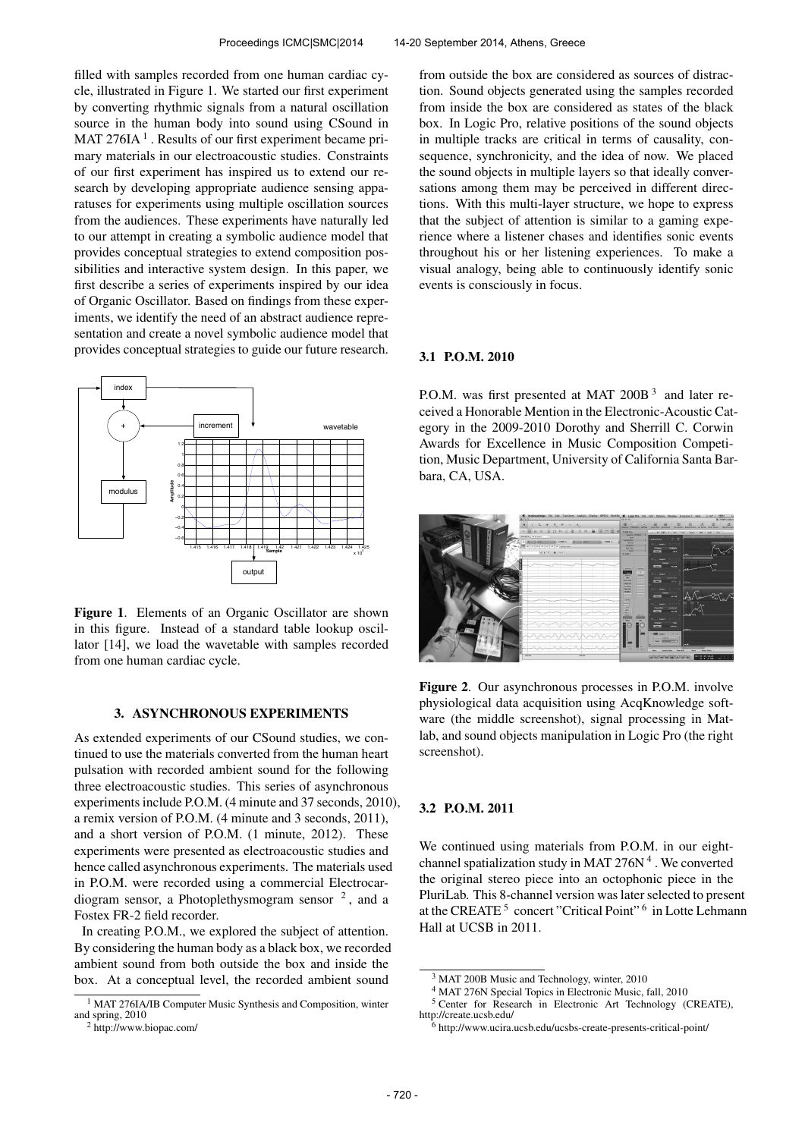filled with samples recorded from one human cardiac cycle, illustrated in Figure 1. We started our first experiment by converting rhythmic signals from a natural oscillation source in the human body into sound using CSound in MAT 276IA $<sup>1</sup>$ . Results of our first experiment became pri-</sup> mary materials in our electroacoustic studies. Constraints of our first experiment has inspired us to extend our research by developing appropriate audience sensing apparatuses for experiments using multiple oscillation sources from the audiences. These experiments have naturally led to our attempt in creating a symbolic audience model that provides conceptual strategies to extend composition possibilities and interactive system design. In this paper, we first describe a series of experiments inspired by our idea of Organic Oscillator. Based on findings from these experiments, we identify the need of an abstract audience representation and create a novel symbolic audience model that provides conceptual strategies to guide our future research.



Figure 1. Elements of an Organic Oscillator are shown in this figure. Instead of a standard table lookup oscillator [14], we load the wavetable with samples recorded from one human cardiac cycle.

#### 3. ASYNCHRONOUS EXPERIMENTS

As extended experiments of our CSound studies, we continued to use the materials converted from the human heart pulsation with recorded ambient sound for the following three electroacoustic studies. This series of asynchronous experiments include P.O.M. (4 minute and 37 seconds, 2010), a remix version of P.O.M. (4 minute and 3 seconds, 2011), and a short version of P.O.M. (1 minute, 2012). These experiments were presented as electroacoustic studies and hence called asynchronous experiments. The materials used in P.O.M. were recorded using a commercial Electrocardiogram sensor, a Photoplethysmogram sensor  $2$ , and a Fostex FR-2 field recorder.

In creating P.O.M., we explored the subject of attention. By considering the human body as a black box, we recorded ambient sound from both outside the box and inside the box. At a conceptual level, the recorded ambient sound

from outside the box are considered as sources of distraction. Sound objects generated using the samples recorded from inside the box are considered as states of the black box. In Logic Pro, relative positions of the sound objects in multiple tracks are critical in terms of causality, consequence, synchronicity, and the idea of now. We placed the sound objects in multiple layers so that ideally conversations among them may be perceived in different directions. With this multi-layer structure, we hope to express that the subject of attention is similar to a gaming experience where a listener chases and identifies sonic events throughout his or her listening experiences. To make a visual analogy, being able to continuously identify sonic events is consciously in focus.

#### 3.1 P.O.M. 2010

P.O.M. was first presented at MAT 200B<sup>3</sup> and later received a Honorable Mention in the Electronic-Acoustic Category in the 2009-2010 Dorothy and Sherrill C. Corwin Awards for Excellence in Music Composition Competition, Music Department, University of California Santa Barbara, CA, USA.



Figure 2. Our asynchronous processes in P.O.M. involve physiological data acquisition using AcqKnowledge software (the middle screenshot), signal processing in Matlab, and sound objects manipulation in Logic Pro (the right screenshot).

## 3.2 P.O.M. 2011

We continued using materials from P.O.M. in our eightchannel spatialization study in MAT  $276N<sup>4</sup>$ . We converted the original stereo piece into an octophonic piece in the PluriLab. This 8-channel version was later selected to present at the CREATE<sup>5</sup> concert "Critical Point"<sup>6</sup> in Lotte Lehmann Hall at UCSB in 2011.

<sup>&</sup>lt;sup>1</sup> MAT 276IA/IB Computer Music Synthesis and Composition, winter and spring, 2010

<sup>2</sup> http://www.biopac.com/

<sup>3</sup> MAT 200B Music and Technology, winter, 2010

<sup>4</sup> MAT 276N Special Topics in Electronic Music, fall, 2010

<sup>&</sup>lt;sup>5</sup> Center for Research in Electronic Art Technology (CREATE), http://create.ucsb.edu/

 $6$  http://www.ucira.ucsb.edu/ucsbs-create-presents-critical-point/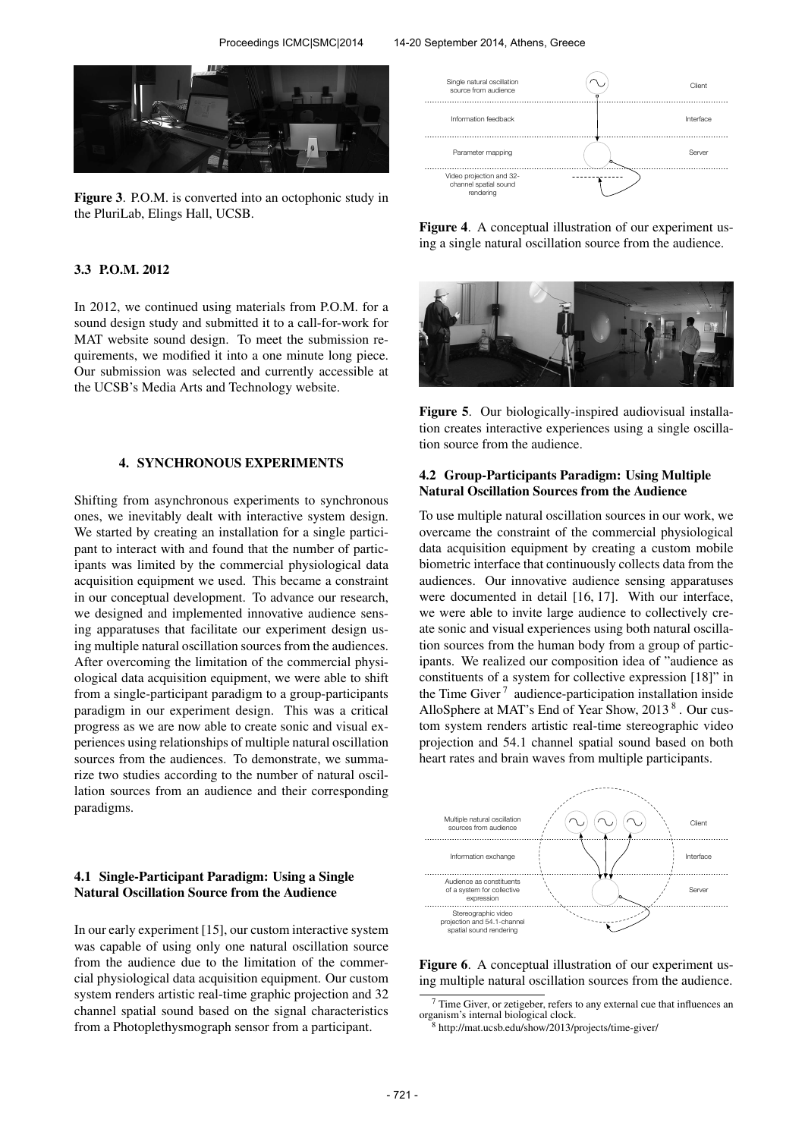

Figure 3. P.O.M. is converted into an octophonic study in the PluriLab, Elings Hall, UCSB.

#### 3.3 P.O.M. 2012

In 2012, we continued using materials from P.O.M. for a sound design study and submitted it to a call-for-work for MAT website sound design. To meet the submission requirements, we modified it into a one minute long piece. Our submission was selected and currently accessible at the UCSB's Media Arts and Technology website.

#### 4. SYNCHRONOUS EXPERIMENTS

Shifting from asynchronous experiments to synchronous ones, we inevitably dealt with interactive system design. We started by creating an installation for a single participant to interact with and found that the number of participants was limited by the commercial physiological data acquisition equipment we used. This became a constraint in our conceptual development. To advance our research, we designed and implemented innovative audience sensing apparatuses that facilitate our experiment design using multiple natural oscillation sources from the audiences. After overcoming the limitation of the commercial physiological data acquisition equipment, we were able to shift from a single-participant paradigm to a group-participants paradigm in our experiment design. This was a critical progress as we are now able to create sonic and visual experiences using relationships of multiple natural oscillation sources from the audiences. To demonstrate, we summarize two studies according to the number of natural oscillation sources from an audience and their corresponding paradigms.

## 4.1 Single-Participant Paradigm: Using a Single Natural Oscillation Source from the Audience

In our early experiment [15], our custom interactive system was capable of using only one natural oscillation source from the audience due to the limitation of the commercial physiological data acquisition equipment. Our custom system renders artistic real-time graphic projection and 32 channel spatial sound based on the signal characteristics from a Photoplethysmograph sensor from a participant.



Figure 4. A conceptual illustration of our experiment using a single natural oscillation source from the audience.



Figure 5. Our biologically-inspired audiovisual installation creates interactive experiences using a single oscillation source from the audience.

## 4.2 Group-Participants Paradigm: Using Multiple Natural Oscillation Sources from the Audience

To use multiple natural oscillation sources in our work, we overcame the constraint of the commercial physiological data acquisition equipment by creating a custom mobile biometric interface that continuously collects data from the audiences. Our innovative audience sensing apparatuses were documented in detail [16, 17]. With our interface, we were able to invite large audience to collectively create sonic and visual experiences using both natural oscillation sources from the human body from a group of participants. We realized our composition idea of "audience as constituents of a system for collective expression [18]" in the Time Giver<sup>7</sup> audience-participation installation inside AlloSphere at MAT's End of Year Show, 2013<sup>8</sup>. Our custom system renders artistic real-time stereographic video projection and 54.1 channel spatial sound based on both heart rates and brain waves from multiple participants.



Figure 6. A conceptual illustration of our experiment using multiple natural oscillation sources from the audience.

 $7$  Time Giver, or zetigeber, refers to any external cue that influences an organism's internal biological clock.

<sup>8</sup> http://mat.ucsb.edu/show/2013/projects/time-giver/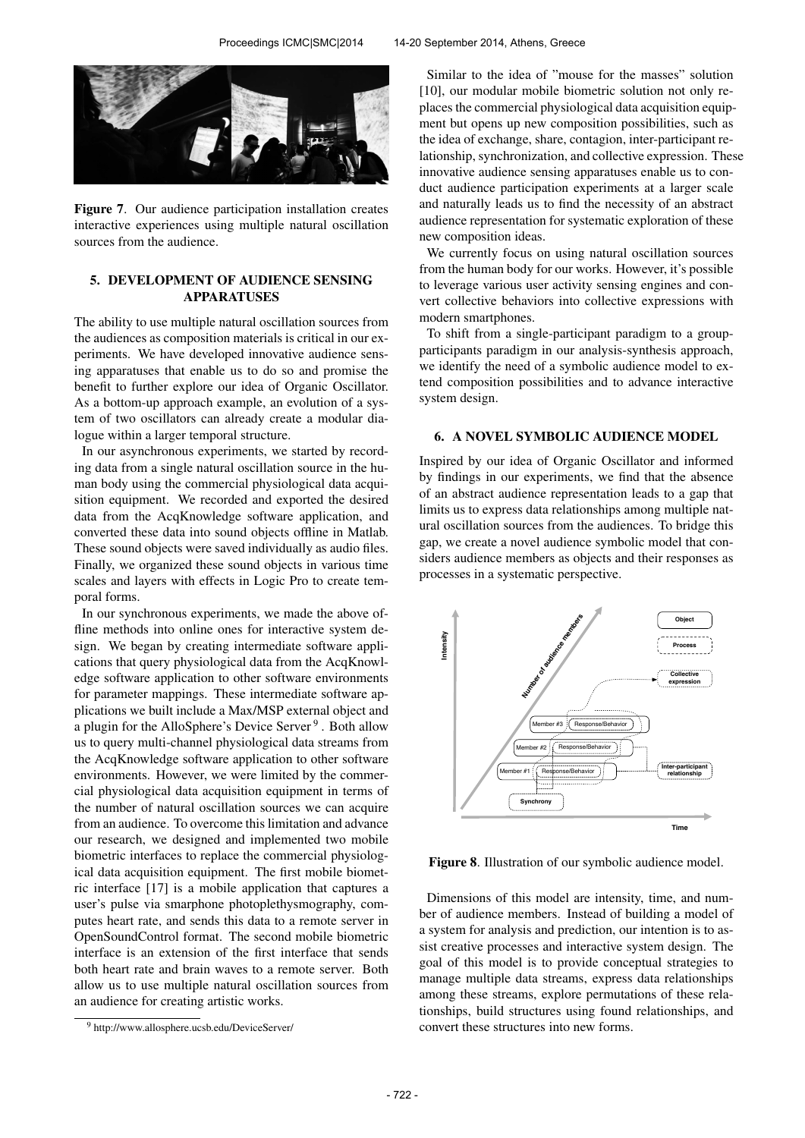

Figure 7. Our audience participation installation creates interactive experiences using multiple natural oscillation sources from the audience.

# 5. DEVELOPMENT OF AUDIENCE SENSING **APPARATUSES**

The ability to use multiple natural oscillation sources from the audiences as composition materials is critical in our experiments. We have developed innovative audience sensing apparatuses that enable us to do so and promise the benefit to further explore our idea of Organic Oscillator. As a bottom-up approach example, an evolution of a system of two oscillators can already create a modular dialogue within a larger temporal structure.

In our asynchronous experiments, we started by recording data from a single natural oscillation source in the human body using the commercial physiological data acquisition equipment. We recorded and exported the desired data from the AcqKnowledge software application, and converted these data into sound objects offline in Matlab. These sound objects were saved individually as audio files. Finally, we organized these sound objects in various time scales and layers with effects in Logic Pro to create temporal forms.

In our synchronous experiments, we made the above offline methods into online ones for interactive system design. We began by creating intermediate software applications that query physiological data from the AcqKnowledge software application to other software environments for parameter mappings. These intermediate software applications we built include a Max/MSP external object and a plugin for the AlloSphere's Device Server<sup>9</sup>. Both allow us to query multi-channel physiological data streams from the AcqKnowledge software application to other software environments. However, we were limited by the commercial physiological data acquisition equipment in terms of the number of natural oscillation sources we can acquire from an audience. To overcome this limitation and advance our research, we designed and implemented two mobile biometric interfaces to replace the commercial physiological data acquisition equipment. The first mobile biometric interface [17] is a mobile application that captures a user's pulse via smarphone photoplethysmography, computes heart rate, and sends this data to a remote server in OpenSoundControl format. The second mobile biometric interface is an extension of the first interface that sends both heart rate and brain waves to a remote server. Both allow us to use multiple natural oscillation sources from an audience for creating artistic works.

Similar to the idea of "mouse for the masses" solution [10], our modular mobile biometric solution not only replaces the commercial physiological data acquisition equipment but opens up new composition possibilities, such as the idea of exchange, share, contagion, inter-participant relationship, synchronization, and collective expression. These innovative audience sensing apparatuses enable us to conduct audience participation experiments at a larger scale and naturally leads us to find the necessity of an abstract audience representation for systematic exploration of these new composition ideas.

We currently focus on using natural oscillation sources from the human body for our works. However, it's possible to leverage various user activity sensing engines and convert collective behaviors into collective expressions with modern smartphones.

To shift from a single-participant paradigm to a groupparticipants paradigm in our analysis-synthesis approach, we identify the need of a symbolic audience model to extend composition possibilities and to advance interactive system design.

## 6. A NOVEL SYMBOLIC AUDIENCE MODEL

Inspired by our idea of Organic Oscillator and informed by findings in our experiments, we find that the absence of an abstract audience representation leads to a gap that limits us to express data relationships among multiple natural oscillation sources from the audiences. To bridge this gap, we create a novel audience symbolic model that considers audience members as objects and their responses as processes in a systematic perspective.



Figure 8. Illustration of our symbolic audience model.

Dimensions of this model are intensity, time, and number of audience members. Instead of building a model of a system for analysis and prediction, our intention is to assist creative processes and interactive system design. The goal of this model is to provide conceptual strategies to manage multiple data streams, express data relationships among these streams, explore permutations of these relationships, build structures using found relationships, and convert these structures into new forms.

<sup>9</sup> http://www.allosphere.ucsb.edu/DeviceServer/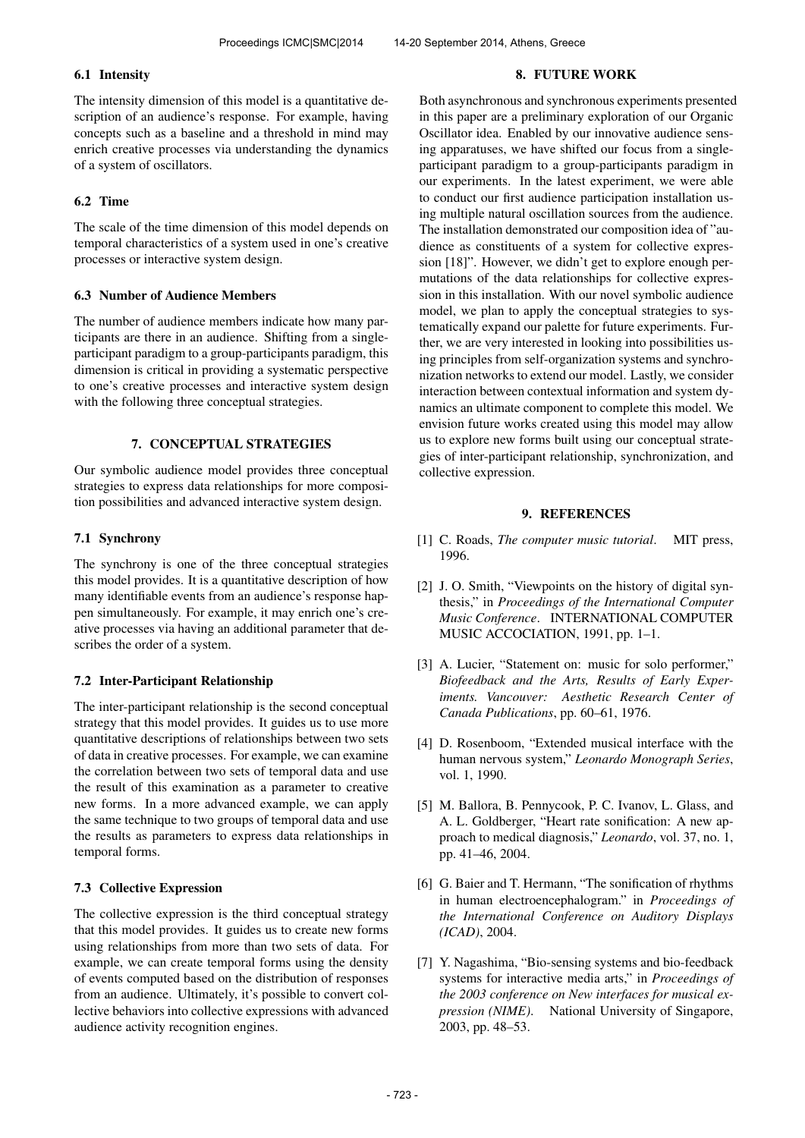# 6.1 Intensity

The intensity dimension of this model is a quantitative description of an audience's response. For example, having concepts such as a baseline and a threshold in mind may enrich creative processes via understanding the dynamics of a system of oscillators.

# 6.2 Time

The scale of the time dimension of this model depends on temporal characteristics of a system used in one's creative processes or interactive system design.

## 6.3 Number of Audience Members

The number of audience members indicate how many participants are there in an audience. Shifting from a singleparticipant paradigm to a group-participants paradigm, this dimension is critical in providing a systematic perspective to one's creative processes and interactive system design with the following three conceptual strategies.

## 7. CONCEPTUAL STRATEGIES

Our symbolic audience model provides three conceptual strategies to express data relationships for more composition possibilities and advanced interactive system design.

## 7.1 Synchrony

The synchrony is one of the three conceptual strategies this model provides. It is a quantitative description of how many identifiable events from an audience's response happen simultaneously. For example, it may enrich one's creative processes via having an additional parameter that describes the order of a system.

# 7.2 Inter-Participant Relationship

The inter-participant relationship is the second conceptual strategy that this model provides. It guides us to use more quantitative descriptions of relationships between two sets of data in creative processes. For example, we can examine the correlation between two sets of temporal data and use the result of this examination as a parameter to creative new forms. In a more advanced example, we can apply the same technique to two groups of temporal data and use the results as parameters to express data relationships in temporal forms.

# 7.3 Collective Expression

The collective expression is the third conceptual strategy that this model provides. It guides us to create new forms using relationships from more than two sets of data. For example, we can create temporal forms using the density of events computed based on the distribution of responses from an audience. Ultimately, it's possible to convert collective behaviors into collective expressions with advanced audience activity recognition engines.

## 8. FUTURE WORK

Both asynchronous and synchronous experiments presented in this paper are a preliminary exploration of our Organic Oscillator idea. Enabled by our innovative audience sensing apparatuses, we have shifted our focus from a singleparticipant paradigm to a group-participants paradigm in our experiments. In the latest experiment, we were able to conduct our first audience participation installation using multiple natural oscillation sources from the audience. The installation demonstrated our composition idea of "audience as constituents of a system for collective expression [18]". However, we didn't get to explore enough permutations of the data relationships for collective expression in this installation. With our novel symbolic audience model, we plan to apply the conceptual strategies to systematically expand our palette for future experiments. Further, we are very interested in looking into possibilities using principles from self-organization systems and synchronization networks to extend our model. Lastly, we consider interaction between contextual information and system dynamics an ultimate component to complete this model. We envision future works created using this model may allow us to explore new forms built using our conceptual strategies of inter-participant relationship, synchronization, and collective expression.

## 9. REFERENCES

- [1] C. Roads, *The computer music tutorial*. MIT press, 1996.
- [2] J. O. Smith, "Viewpoints on the history of digital synthesis," in *Proceedings of the International Computer Music Conference*. INTERNATIONAL COMPUTER MUSIC ACCOCIATION, 1991, pp. 1–1.
- [3] A. Lucier, "Statement on: music for solo performer," *Biofeedback and the Arts, Results of Early Experiments. Vancouver: Aesthetic Research Center of Canada Publications*, pp. 60–61, 1976.
- [4] D. Rosenboom, "Extended musical interface with the human nervous system," *Leonardo Monograph Series*, vol. 1, 1990.
- [5] M. Ballora, B. Pennycook, P. C. Ivanov, L. Glass, and A. L. Goldberger, "Heart rate sonification: A new approach to medical diagnosis," *Leonardo*, vol. 37, no. 1, pp. 41–46, 2004.
- [6] G. Baier and T. Hermann, "The sonification of rhythms in human electroencephalogram." in *Proceedings of the International Conference on Auditory Displays (ICAD)*, 2004.
- [7] Y. Nagashima, "Bio-sensing systems and bio-feedback systems for interactive media arts," in *Proceedings of the 2003 conference on New interfaces for musical expression (NIME)*. National University of Singapore, 2003, pp. 48–53.